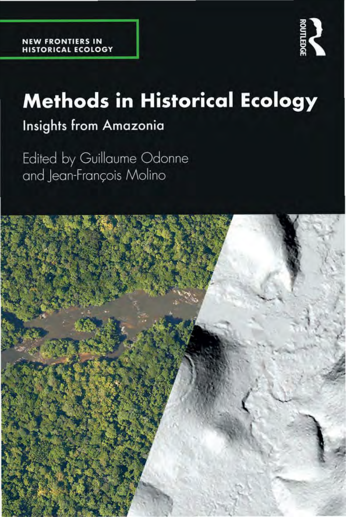

# **Methods in Historical Ecology**

## Insights from Amazonia

Edited by Guillaume Odonne and Jean-François Molino

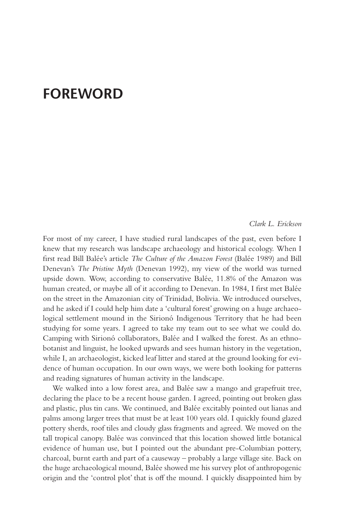## **FOREWORD**

### *Clark L. Erickson*

For most of my career, I have studied rural landscapes of the past, even before I knew that my research was landscape archaeology and historical ecology. When I frst read Bill Balée's article *The Culture of the Amazon Forest* (Balée 1989) and Bill Denevan's *The Pristine Myth* (Denevan 1992), my view of the world was turned upside down. Wow, according to conservative Balée, 11.8% of the Amazon was human created, or maybe all of it according to Denevan. In 1984, I frst met Balée on the street in the Amazonian city of Trinidad, Bolivia. We introduced ourselves, and he asked if I could help him date a 'cultural forest' growing on a huge archaeological settlement mound in the Sirionó Indigenous Territory that he had been studying for some years. I agreed to take my team out to see what we could do. Camping with Sirionó collaborators, Balée and I walked the forest. As an ethnobotanist and linguist, he looked upwards and sees human history in the vegetation, while I, an archaeologist, kicked leaf litter and stared at the ground looking for evidence of human occupation. In our own ways, we were both looking for patterns and reading signatures of human activity in the landscape.

We walked into a low forest area, and Balée saw a mango and grapefruit tree, declaring the place to be a recent house garden. I agreed, pointing out broken glass and plastic, plus tin cans. We continued, and Balée excitably pointed out lianas and palms among larger trees that must be at least 100 years old. I quickly found glazed pottery sherds, roof tiles and cloudy glass fragments and agreed. We moved on the tall tropical canopy. Balée was convinced that this location showed little botanical evidence of human use, but I pointed out the abundant pre-Columbian pottery, charcoal, burnt earth and part of a causeway – probably a large village site. Back on the huge archaeological mound, Balée showed me his survey plot of anthropogenic origin and the 'control plot' that is of the mound. I quickly disappointed him by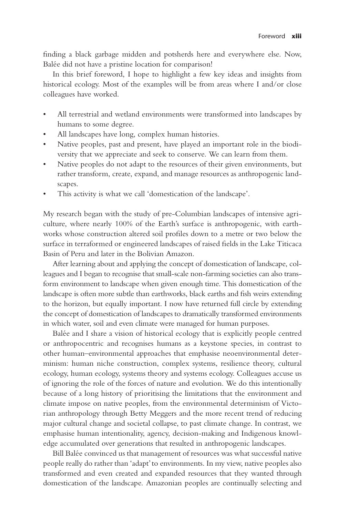fnding a black garbage midden and potsherds here and everywhere else. Now, Balée did not have a pristine location for comparison!

In this brief foreword, I hope to highlight a few key ideas and insights from historical ecology. Most of the examples will be from areas where I and/or close colleagues have worked.

- All terrestrial and wetland environments were transformed into landscapes by humans to some degree.
- All landscapes have long, complex human histories.
- Native peoples, past and present, have played an important role in the biodiversity that we appreciate and seek to conserve. We can learn from them.
- Native peoples do not adapt to the resources of their given environments, but rather transform, create, expand, and manage resources as anthropogenic landscapes.
- This activity is what we call 'domestication of the landscape'.

My research began with the study of pre-Columbian landscapes of intensive agriculture, where nearly 100% of the Earth's surface is anthropogenic, with earthworks whose construction altered soil profles down to a metre or two below the surface in terraformed or engineered landscapes of raised felds in the Lake Titicaca Basin of Peru and later in the Bolivian Amazon.

After learning about and applying the concept of domestication of landscape, colleagues and I began to recognise that small-scale non-farming societies can also transform environment to landscape when given enough time. This domestication of the landscape is often more subtle than earthworks, black earths and fsh weirs extending to the horizon, but equally important. I now have returned full circle by extending the concept of domestication of landscapes to dramatically transformed environments in which water, soil and even climate were managed for human purposes.

Balée and I share a vision of historical ecology that is explicitly people centred or anthropocentric and recognises humans as a keystone species, in contrast to other human–environmental approaches that emphasise neoenvironmental determinism: human niche construction, complex systems, resilience theory, cultural ecology, human ecology, systems theory and systems ecology. Colleagues accuse us of ignoring the role of the forces of nature and evolution. We do this intentionally because of a long history of prioritising the limitations that the environment and climate impose on native peoples, from the environmental determinism of Victorian anthropology through Betty Meggers and the more recent trend of reducing major cultural change and societal collapse, to past climate change. In contrast, we emphasise human intentionality, agency, decision-making and Indigenous knowledge accumulated over generations that resulted in anthropogenic landscapes.

Bill Balée convinced us that management of resources was what successful native people really do rather than 'adapt'to environments. In my view, native peoples also transformed and even created and expanded resources that they wanted through domestication of the landscape. Amazonian peoples are continually selecting and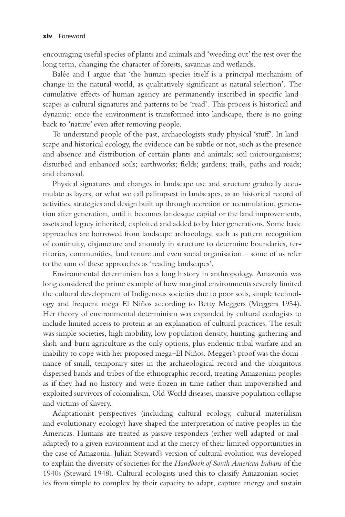encouraging useful species of plants and animals and 'weeding out' the rest over the long term, changing the character of forests, savannas and wetlands.

Balée and I argue that 'the human species itself is a principal mechanism of change in the natural world, as qualitatively signifcant as natural selection'. The cumulative efects of human agency are permanently inscribed in specifc landscapes as cultural signatures and patterns to be 'read'. This process is historical and dynamic: once the environment is transformed into landscape, there is no going back to 'nature' even after removing people.

To understand people of the past, archaeologists study physical 'stuf'. In landscape and historical ecology, the evidence can be subtle or not, such as the presence and absence and distribution of certain plants and animals; soil microorganisms; disturbed and enhanced soils; earthworks; felds; gardens; trails, paths and roads; and charcoal.

Physical signatures and changes in landscape use and structure gradually accumulate as layers, or what we call palimpsest in landscapes, as an historical record of activities, strategies and design built up through accretion or accumulation, generation after generation, until it becomes landesque capital or the land improvements, assets and legacy inherited, exploited and added to by later generations. Some basic approaches are borrowed from landscape archaeology, such as pattern recognition of continuity, disjuncture and anomaly in structure to determine boundaries, territories, communities, land tenure and even social organisation – some of us refer to the sum of these approaches as 'reading landscapes'.

Environmental determinism has a long history in anthropology. Amazonia was long considered the prime example of how marginal environments severely limited the cultural development of Indigenous societies due to poor soils, simple technology and frequent mega–El Niños according to Betty Meggers (Meggers 1954). Her theory of environmental determinism was expanded by cultural ecologists to include limited access to protein as an explanation of cultural practices. The result was simple societies, high mobility, low population density, hunting-gathering and slash-and-burn agriculture as the only options, plus endemic tribal warfare and an inability to cope with her proposed mega–El Niños. Megger's proof was the dominance of small, temporary sites in the archaeological record and the ubiquitous dispersed bands and tribes of the ethnographic record, treating Amazonian peoples as if they had no history and were frozen in time rather than impoverished and exploited survivors of colonialism, Old World diseases, massive population collapse and victims of slavery.

Adaptationist perspectives (including cultural ecology, cultural materialism and evolutionary ecology) have shaped the interpretation of native peoples in the Americas. Humans are treated as passive responders (either well adapted or maladapted) to a given environment and at the mercy of their limited opportunities in the case of Amazonia. Julian Steward's version of cultural evolution was developed to explain the diversity of societies for the *Handbook of South American Indians* of the 1940s (Steward 1948). Cultural ecologists used this to classify Amazonian societies from simple to complex by their capacity to adapt, capture energy and sustain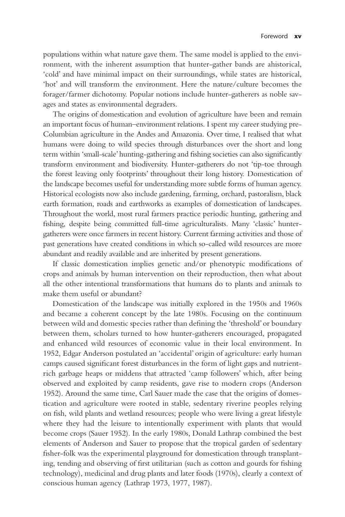populations within what nature gave them. The same model is applied to the environment, with the inherent assumption that hunter-gather bands are ahistorical, 'cold' and have minimal impact on their surroundings, while states are historical, 'hot' and will transform the environment. Here the nature/culture becomes the forager/farmer dichotomy. Popular notions include hunter-gatherers as noble savages and states as environmental degraders.

The origins of domestication and evolution of agriculture have been and remain an important focus of human–environment relations. I spent my career studying pre-Columbian agriculture in the Andes and Amazonia. Over time, I realised that what humans were doing to wild species through disturbances over the short and long term within 'small-scale' hunting-gathering and fshing societies can also signifcantly transform environment and biodiversity. Hunter-gatherers do not 'tip-toe through the forest leaving only footprints' throughout their long history. Domestication of the landscape becomes useful for understanding more subtle forms of human agency. Historical ecologists now also include gardening, farming, orchard, pastoralism, black earth formation, roads and earthworks as examples of domestication of landscapes. Throughout the world, most rural farmers practice periodic hunting, gathering and fshing, despite being committed full-time agriculturalists. Many 'classic' huntergatherers were once farmers in recent history. Current farming activities and those of past generations have created conditions in which so-called wild resources are more abundant and readily available and are inherited by present generations.

If classic domestication implies genetic and/or phenotypic modifcations of crops and animals by human intervention on their reproduction, then what about all the other intentional transformations that humans do to plants and animals to make them useful or abundant?

Domestication of the landscape was initially explored in the 1950s and 1960s and became a coherent concept by the late 1980s. Focusing on the continuum between wild and domestic species rather than defning the 'threshold'or boundary between them, scholars turned to how hunter-gatherers encouraged, propagated and enhanced wild resources of economic value in their local environment. In 1952, Edgar Anderson postulated an 'accidental' origin of agriculture: early human camps caused signifcant forest disturbances in the form of light gaps and nutrientrich garbage heaps or middens that attracted 'camp followers' which, after being observed and exploited by camp residents, gave rise to modern crops (Anderson 1952). Around the same time, Carl Sauer made the case that the origins of domestication and agriculture were rooted in stable, sedentary riverine peoples relying on fsh, wild plants and wetland resources; people who were living a great lifestyle where they had the leisure to intentionally experiment with plants that would become crops (Sauer 1952). In the early 1980s, Donald Lathrap combined the best elements of Anderson and Sauer to propose that the tropical garden of sedentary fsher-folk was the experimental playground for domestication through transplanting, tending and observing of frst utilitarian (such as cotton and gourds for fshing technology), medicinal and drug plants and later foods (1970s), clearly a context of conscious human agency (Lathrap 1973, 1977, 1987).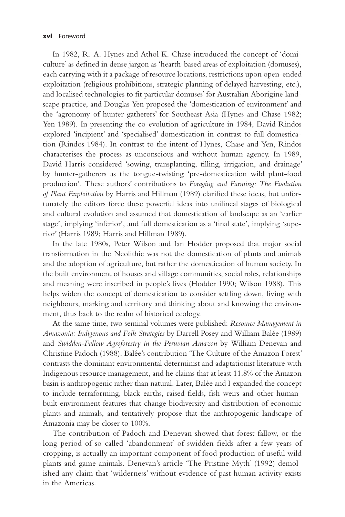In 1982, R. A. Hynes and Athol K. Chase introduced the concept of 'domiculture' as defned in dense jargon as 'hearth-based areas of exploitation (domuses), each carrying with it a package of resource locations, restrictions upon open-ended exploitation (religious prohibitions, strategic planning of delayed harvesting, etc.), and localised technologies to ft particular domuses' for Australian Aborigine landscape practice, and Douglas Yen proposed the 'domestication of environment' and the 'agronomy of hunter-gatherers' for Southeast Asia (Hynes and Chase 1982; Yen 1989). In presenting the co-evolution of agriculture in 1984, David Rindos explored 'incipient' and 'specialised' domestication in contrast to full domestication (Rindos 1984). In contrast to the intent of Hynes, Chase and Yen, Rindos characterises the process as unconscious and without human agency. In 1989, David Harris considered 'sowing, transplanting, tilling, irrigation, and drainage' by hunter-gatherers as the tongue-twisting 'pre-domestication wild plant-food production'. These authors' contributions to *Foraging and Farming: The Evolution of Plant Exploitation* by Harris and Hillman (1989) clarifed these ideas, but unfortunately the editors force these powerful ideas into unilineal stages of biological and cultural evolution and assumed that domestication of landscape as an 'earlier stage', implying 'inferior', and full domestication as a 'fnal state', implying 'superior' (Harris 1989; Harris and Hillman 1989).

In the late 1980s, Peter Wilson and Ian Hodder proposed that major social transformation in the Neolithic was not the domestication of plants and animals and the adoption of agriculture, but rather the domestication of human society. In the built environment of houses and village communities, social roles, relationships and meaning were inscribed in people's lives (Hodder 1990; Wilson 1988). This helps widen the concept of domestication to consider settling down, living with neighbours, marking and territory and thinking about and knowing the environment, thus back to the realm of historical ecology.

At the same time, two seminal volumes were published: *Resource Management in Amazonia: Indigenous and Folk Strategies* by Darrell Posey and William Balée (1989) and *Swidden-Fallow Agroforestry in the Peruvian Amazon* by William Denevan and Christine Padoch (1988). Balée's contribution 'The Culture of the Amazon Forest' contrasts the dominant environmental determinist and adaptationist literature with Indigenous resource management, and he claims that at least 11.8% of the Amazon basin is anthropogenic rather than natural. Later, Balée and I expanded the concept to include terraforming, black earths, raised felds, fsh weirs and other humanbuilt environment features that change biodiversity and distribution of economic plants and animals, and tentatively propose that the anthropogenic landscape of Amazonia may be closer to 100%.

The contribution of Padoch and Denevan showed that forest fallow, or the long period of so-called 'abandonment' of swidden fields after a few years of cropping, is actually an important component of food production of useful wild plants and game animals. Denevan's article 'The Pristine Myth' (1992) demolished any claim that 'wilderness' without evidence of past human activity exists in the Americas.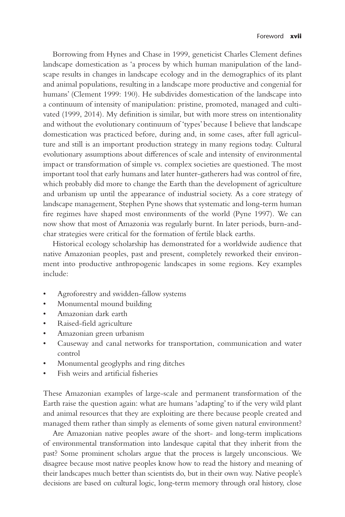Borrowing from Hynes and Chase in 1999, geneticist Charles Clement defnes landscape domestication as 'a process by which human manipulation of the landscape results in changes in landscape ecology and in the demographics of its plant and animal populations, resulting in a landscape more productive and congenial for humans' (Clement 1999: 190). He subdivides domestication of the landscape into a continuum of intensity of manipulation: pristine, promoted, managed and cultivated (1999, 2014). My defnition is similar, but with more stress on intentionality and without the evolutionary continuum of 'types' because I believe that landscape domestication was practiced before, during and, in some cases, after full agriculture and still is an important production strategy in many regions today. Cultural evolutionary assumptions about diferences of scale and intensity of environmental impact or transformation of simple vs. complex societies are questioned. The most important tool that early humans and later hunter-gatherers had was control of fre, which probably did more to change the Earth than the development of agriculture and urbanism up until the appearance of industrial society. As a core strategy of landscape management, Stephen Pyne shows that systematic and long-term human fre regimes have shaped most environments of the world (Pyne 1997). We can now show that most of Amazonia was regularly burnt. In later periods, burn-andchar strategies were critical for the formation of fertile black earths.

Historical ecology scholarship has demonstrated for a worldwide audience that native Amazonian peoples, past and present, completely reworked their environment into productive anthropogenic landscapes in some regions. Key examples include:

- Agroforestry and swidden-fallow systems
- Monumental mound building
- Amazonian dark earth
- Raised-field agriculture
- Amazonian green urbanism
- Causeway and canal networks for transportation, communication and water control
- Monumental geoglyphs and ring ditches
- Fish weirs and artificial fisheries

These Amazonian examples of large-scale and permanent transformation of the Earth raise the question again: what are humans 'adapting' to if the very wild plant and animal resources that they are exploiting are there because people created and managed them rather than simply as elements of some given natural environment?

Are Amazonian native peoples aware of the short- and long-term implications of environmental transformation into landesque capital that they inherit from the past? Some prominent scholars argue that the process is largely unconscious. We disagree because most native peoples know how to read the history and meaning of their landscapes much better than scientists do, but in their own way. Native people's decisions are based on cultural logic, long-term memory through oral history, close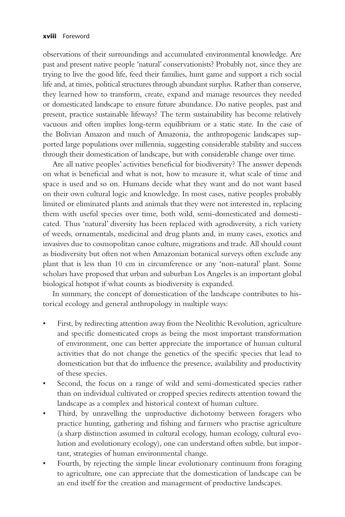observations of their surroundings and accumulated environmental knowledge. Are past and present native people 'natural' conservationists? Probably not, since they are trying to live the good life, feed their families, hunt game and support a rich social life and, at times, political structures through abundant surplus. Rather than conserve, they learned how to transform, create, expand and manage resources they needed or domesticated landscape to ensure future abundance. Do native peoples, past and present, practice sustainable lifeways? The term sustainability has become relatively vacuous and often implies long-term equilibrium or a static state. In the case of the Bolivian Amazon and much of Amazonia, the anthropogenic landscapes supported large populations over millennia, suggesting considerable stability and success through their domestication of landscape, but with considerable change over time.

Are all native peoples' activities beneficial for biodiversity? The answer depends on what is benefcial and what is not, how to measure it, what scale of time and space is used and so on. Humans decide what they want and do not want based on their own cultural logic and knowledge. In most cases, native peoples probably limited or eliminated plants and animals that they were not interested in, replacing them with useful species over time, both wild, semi-domesticated and domesticated. Thus 'natural' diversity has been replaced with agrodiversity, a rich variety of weeds, ornamentals, medicinal and drug plants and, in many cases, exotics and invasives due to cosmopolitan canoe culture, migrations and trade. All should count as biodiversity but often not when Amazonian botanical surveys often exclude any plant that is less than 10 cm in circumference or any 'non-natural' plant. Some scholars have proposed that urban and suburban Los Angeles is an important global biological hotspot if what counts as biodiversity is expanded.

In summary, the concept of domestication of the landscape contributes to historical ecology and general anthropology in multiple ways:

- First, by redirecting attention away from the Neolithic Revolution, agriculture and specific domesticated crops as being the most important transformation of environment, one can better appreciate the importance of human cultural activities that do not change the genetics of the specific species that lead to domestication but that do influence the presence, availability and productivity of these species.
- Second, the focus on a range of wild and semi-domesticated species rather than on individual cultivated or cropped species redirects attention toward the landscape as a complex and historical context of human culture.
- Third, by unravelling the unproductive dichotomy between foragers who practice hunting, gathering and fishing and farmers who practise agriculture (a sharp distinction assumed in cultural ecology, human ecology, cultural evolution and evolutionary ecology), one can understand often subtle, but important, strategies of human environmental change.
- Fourth, by rejecting the simple linear evolutionary continuum from foraging to agriculture, one can appreciate that the domestication of landscape can be an end itself for the creation and management of productive landscapes.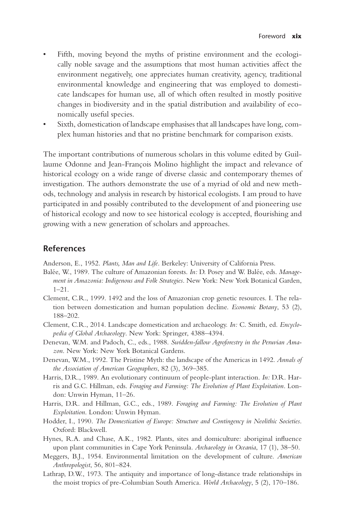- Fifth, moving beyond the myths of pristine environment and the ecologically noble savage and the assumptions that most human activities affect the environment negatively, one appreciates human creativity, agency, traditional environmental knowledge and engineering that was employed to domesticate landscapes for human use, all of which often resulted in mostly positive changes in biodiversity and in the spatial distribution and availability of economically useful species.
- Sixth, domestication of landscape emphasises that all landscapes have long, complex human histories and that no pristine benchmark for comparison exists.

The important contributions of numerous scholars in this volume edited by Guillaume Odonne and Jean-François Molino highlight the impact and relevance of historical ecology on a wide range of diverse classic and contemporary themes of investigation. The authors demonstrate the use of a myriad of old and new methods, technology and analysis in research by historical ecologists. I am proud to have participated in and possibly contributed to the development of and pioneering use of historical ecology and now to see historical ecology is accepted, fourishing and growing with a new generation of scholars and approaches.

#### **References**

Anderson, E., 1952. *Plants, Man and Life*. Berkeley: University of California Press.

- Balée, W., 1989. The culture of Amazonian forests. *In:* D. Posey and W. Balée, eds. *Management in Amazonia: Indigenous and Folk Strategies*. New York: New York Botanical Garden, 1–21.
- Clement, C.R., 1999. 1492 and the loss of Amazonian crop genetic resources. I. The relation between domestication and human population decline. *Economic Botany*, 53 (2), 188–202.
- Clement, C.R., 2014. Landscape domestication and archaeology. *In:* C. Smith, ed. *Encyclopedia of Global Archaeology*. New York: Springer, 4388–4394.
- Denevan, W.M. and Padoch, C., eds., 1988. *Swidden-fallow Agroforestry in the Peruvian Amazon*. New York: New York Botanical Gardens.
- Denevan, W.M., 1992. The Pristine Myth: the landscape of the Americas in 1492. *Annals of the Association of American Geographers*, 82 (3), 369–385.
- Harris, D.R., 1989. An evolutionary continuum of people-plant interaction. *In:* D.R. Harris and G.C. Hillman, eds. *Foraging and Farming: The Evolution of Plant Exploitation*. London: Unwin Hyman, 11–26.
- Harris, D.R. and Hillman, G.C., eds., 1989. *Foraging and Farming: The Evolution of Plant Exploitation*. London: Unwin Hyman.
- Hodder, I., 1990. *The Domestication of Europe: Structure and Contingency in Neolithic Societies*. Oxford: Blackwell.
- Hynes, R.A. and Chase, A.K., 1982. Plants, sites and domiculture: aboriginal infuence upon plant communities in Cape York Peninsula. *Archaeology in Oceania*, 17 (1), 38–50.
- Meggers, B.J., 1954. Environmental limitation on the development of culture. *American Anthropologist*, 56, 801–824.
- Lathrap, D.W., 1973. The antiquity and importance of long-distance trade relationships in the moist tropics of pre-Columbian South America. *World Archaeology*, 5 (2), 170–186.